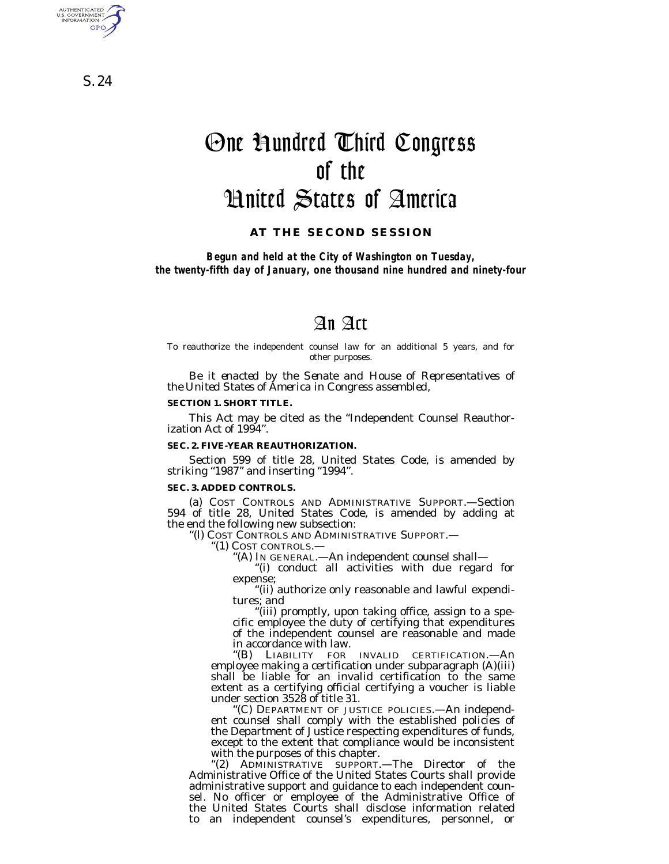One Hundred Third Congress of the United States of America

**AT THE SECOND SESSION**

*Begun and held at the City of Washington on Tuesday, the twenty-fifth day of January, one thousand nine hundred and ninety-four*

# An Act

To reauthorize the independent counsel law for an additional 5 years, and for other purposes.

*Be it enacted by the Senate and House of Representatives of the United States of America in Congress assembled,*

#### **SECTION 1. SHORT TITLE.**

This Act may be cited as the ''Independent Counsel Reauthorization Act of 1994''.

#### **SEC. 2. FIVE-YEAR REAUTHORIZATION.**

Section 599 of title 28, United States Code, is amended by striking ''1987'' and inserting ''1994''.

### **SEC. 3. ADDED CONTROLS.**

(a) COST CONTROLS AND ADMINISTRATIVE SUPPORT.—Section 594 of title 28, United States Code, is amended by adding at the end the following new subsection:

''(l) COST CONTROLS AND ADMINISTRATIVE SUPPORT.—

'(1) COST CONTROLS.-

''(A) IN GENERAL.—An independent counsel shall—

''(i) conduct all activities with due regard for expense;

''(ii) authorize only reasonable and lawful expenditures; and

''(iii) promptly, upon taking office, assign to a specific employee the duty of certifying that expenditures of the independent counsel are reasonable and made in accordance with law.

''(B) LIABILITY FOR INVALID CERTIFICATION.—An employee making a certification under subparagraph (A)(iii) shall be liable for an invalid certification to the same extent as a certifying official certifying a voucher is liable under section 3528 of title 31.

''(C) DEPARTMENT OF JUSTICE POLICIES.—An independent counsel shall comply with the established policies of the Department of Justice respecting expenditures of funds, except to the extent that compliance would be inconsistent with the purposes of this chapter.

''(2) ADMINISTRATIVE SUPPORT.—The Director of the Administrative Office of the United States Courts shall provide administrative support and guidance to each independent counsel. No officer or employee of the Administrative Office of the United States Courts shall disclose information related to an independent counsel's expenditures, personnel, or

S. 24

AUTHENTICATED<br>U.S. GOVERNMENT<br>INFORMATION GPO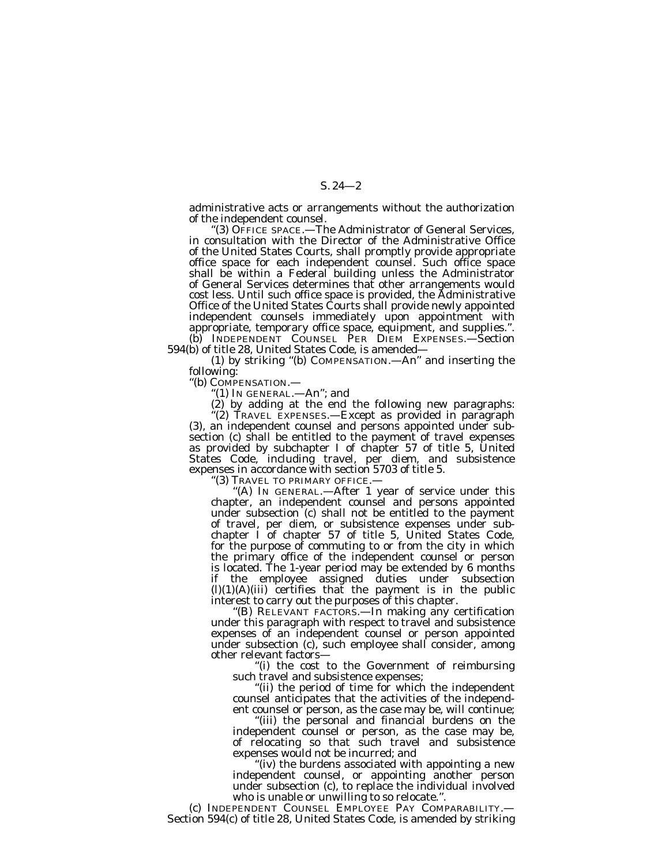administrative acts or arrangements without the authorization of the independent counsel.

'(3) OFFICE SPACE.—The Administrator of General Services, in consultation with the Director of the Administrative Office of the United States Courts, shall promptly provide appropriate office space for each independent counsel. Such office space shall be within a Federal building unless the Administrator of General Services determines that other arrangements would cost less. Until such office space is provided, the Administrative Office of the United States Courts shall provide newly appointed independent counsels immediately upon appointment with appropriate, temporary office space, equipment, and supplies.''. (b) INDEPENDENT COUNSEL PER DIEM EXPENSES.—Section 594(b) of title 28, United States Code, is amended—

(1) by striking ''(b) COMPENSATION.—An'' and inserting the following:

''(b) COMPENSATION.—

''(1) IN GENERAL.—An''; and

(2) by adding at the end the following new paragraphs: ''(2) TRAVEL EXPENSES.—Except as provided in paragraph (3), an independent counsel and persons appointed under subsection (c) shall be entitled to the payment of travel expenses as provided by subchapter I of chapter 57 of title 5, United States Code, including travel, per diem, and subsistence expenses in accordance with section 5703 of title 5.

''(3) TRAVEL TO PRIMARY OFFICE.—

"(A) IN GENERAL.—After 1 year of service under this chapter, an independent counsel and persons appointed under subsection (c) shall not be entitled to the payment of travel, per diem, or subsistence expenses under subchapter I of chapter 57 of title 5, United States Code, for the purpose of commuting to or from the city in which the primary office of the independent counsel or person is located. The 1-year period may be extended by 6 months if the employee assigned duties under subsection  $(l)(1)(A)(iii)$  certifies that the payment is in the public interest to carry out the purposes of this chapter.

"(B) RELEVANT FACTORS.—In making any certification under this paragraph with respect to travel and subsistence expenses of an independent counsel or person appointed under subsection (c), such employee shall consider, among other relevant factors—

''(i) the cost to the Government of reimbursing such travel and subsistence expenses;

''(ii) the period of time for which the independent counsel anticipates that the activities of the independent counsel or person, as the case may be, will continue;

'(iii) the personal and financial burdens on the independent counsel or person, as the case may be, of relocating so that such travel and subsistence expenses would not be incurred; and

''(iv) the burdens associated with appointing a new independent counsel, or appointing another person under subsection (c), to replace the individual involved who is unable or unwilling to so relocate.''.

(c) INDEPENDENT COUNSEL EMPLOYEE PAY COMPARABILITY.— Section 594(c) of title 28, United States Code, is amended by striking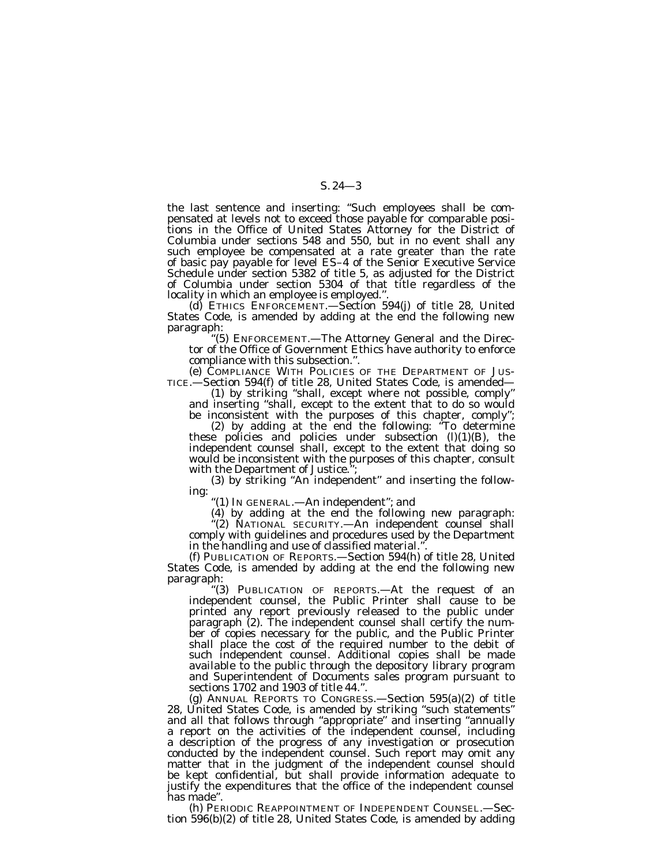the last sentence and inserting: ''Such employees shall be compensated at levels not to exceed those payable for comparable positions in the Office of United States Attorney for the District of Columbia under sections 548 and 550, but in no event shall any such employee be compensated at a rate greater than the rate of basic pay payable for level ES–4 of the Senior Executive Service Schedule under section 5382 of title 5, as adjusted for the District of Columbia under section 5304 of that title regardless of the locality in which an employee is employed.''.

(d) ETHICS ENFORCEMENT.—Section 594(j) of title 28, United States Code, is amended by adding at the end the following new paragraph:

''(5) ENFORCEMENT.—The Attorney General and the Director of the Office of Government Ethics have authority to enforce compliance with this subsection.''.

(e) COMPLIANCE WITH POLICIES OF THE DEPARTMENT OF JUSTICE.—Section 594(f) of title 28, United States Code, is amended— -Section 594(f) of title 28, United States Code, is amended—

(1) by striking ''shall, except where not possible, comply'' and inserting ''shall, except to the extent that to do so would be inconsistent with the purposes of this chapter, comply'';

(2) by adding at the end the following: ''To determine these policies and policies under subsection (l)(1)(B), the independent counsel shall, except to the extent that doing so would be inconsistent with the purposes of this chapter, consult with the Department of Justice."

(3) by striking ''An independent'' and inserting the following:

''(1) IN GENERAL.—An independent''; and

(4) by adding at the end the following new paragraph:

''(2) NATIONAL SECURITY.—An independent counsel shall comply with guidelines and procedures used by the Department in the handling and use of classified material.'

(f) PUBLICATION OF REPORTS.—Section 594(h) of title 28, United States Code, is amended by adding at the end the following new paragraph: ''(3) PUBLICATION OF REPORTS.—At the request of an

independent counsel, the Public Printer shall cause to be printed any report previously released to the public under paragraph (2). The independent counsel shall certify the number of copies necessary for the public, and the Public Printer shall place the cost of the required number to the debit of such independent counsel. Additional copies shall be made available to the public through the depository library program and Superintendent of Documents sales program pursuant to sections 1702 and 1903 of title 44.''.

(g) ANNUAL REPORTS TO CONGRESS.—Section 595(a)(2) of title 28, United States Code, is amended by striking ''such statements'' and all that follows through ''appropriate'' and inserting ''annually a report on the activities of the independent counsel, including a description of the progress of any investigation or prosecution conducted by the independent counsel. Such report may omit any matter that in the judgment of the independent counsel should be kept confidential, but shall provide information adequate to justify the expenditures that the office of the independent counsel has made''.

(h) PERIODIC REAPPOINTMENT OF INDEPENDENT COUNSEL.—Section 596(b)(2) of title 28, United States Code, is amended by adding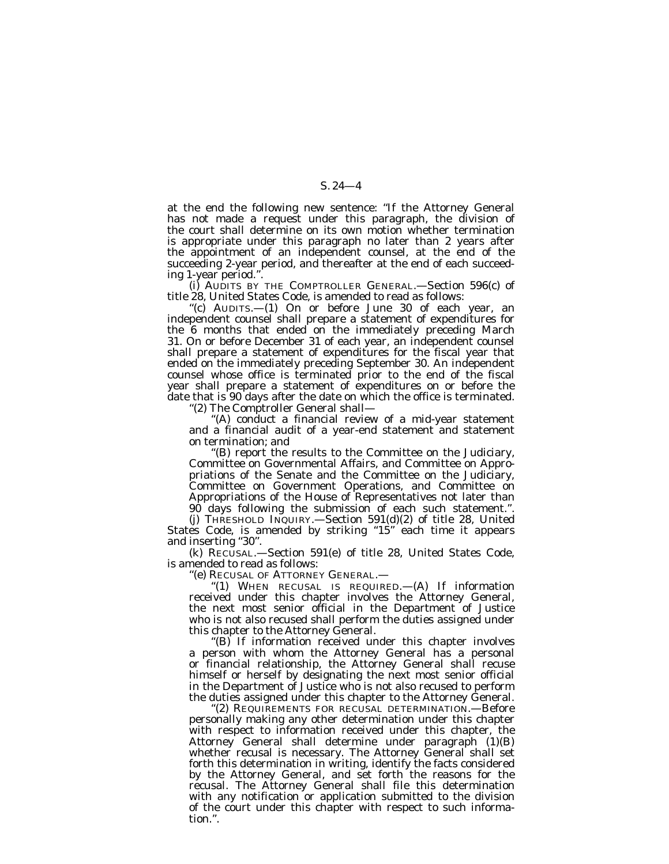at the end the following new sentence: ''If the Attorney General has not made a request under this paragraph, the division of the court shall determine on its own motion whether termination is appropriate under this paragraph no later than 2 years after the appointment of an independent counsel, at the end of the succeeding 2-year period, and thereafter at the end of each succeeding 1-year period."

(i) AUDITS BY THE COMPTROLLER GENERAL.—Section 596(c) of title 28, United States Code, is amended to read as follows:

''(c) AUDITS.—(1) On or before June 30 of each year, an independent counsel shall prepare a statement of expenditures for the 6 months that ended on the immediately preceding March 31. On or before December 31 of each year, an independent counsel shall prepare a statement of expenditures for the fiscal year that ended on the immediately preceding September 30. An independent counsel whose office is terminated prior to the end of the fiscal year shall prepare a statement of expenditures on or before the date that is 90 days after the date on which the office is terminated.

''(2) The Comptroller General shall—

 $f(A)$  conduct a financial review of a mid-year statement and a financial audit of a year-end statement and statement on termination; and

''(B) report the results to the Committee on the Judiciary, Committee on Governmental Affairs, and Committee on Appropriations of the Senate and the Committee on the Judiciary, Committee on Government Operations, and Committee on Appropriations of the House of Representatives not later than 90 days following the submission of each such statement.''.

(j) THRESHOLD INQUIRY.—Section 591(d)(2) of title 28, United States Code, is amended by striking "15" each time it appears and inserting ''30''.

(k) RECUSAL.—Section 591(e) of title 28, United States Code, is amended to read as follows:

''(e) RECUSAL OF ATTORNEY GENERAL.—

''(1) WHEN RECUSAL IS REQUIRED.—(A) If information received under this chapter involves the Attorney General, the next most senior official in the Department of Justice who is not also recused shall perform the duties assigned under this chapter to the Attorney General.

''(B) If information received under this chapter involves a person with whom the Attorney General has a personal or financial relationship, the Attorney General shall recuse himself or herself by designating the next most senior official in the Department of Justice who is not also recused to perform the duties assigned under this chapter to the Attorney General.

''(2) REQUIREMENTS FOR RECUSAL DETERMINATION.—Before personally making any other determination under this chapter with respect to information received under this chapter, the Attorney General shall determine under paragraph (1)(B) whether recusal is necessary. The Attorney General shall set forth this determination in writing, identify the facts considered by the Attorney General, and set forth the reasons for the recusal. The Attorney General shall file this determination with any notification or application submitted to the division of the court under this chapter with respect to such information.''.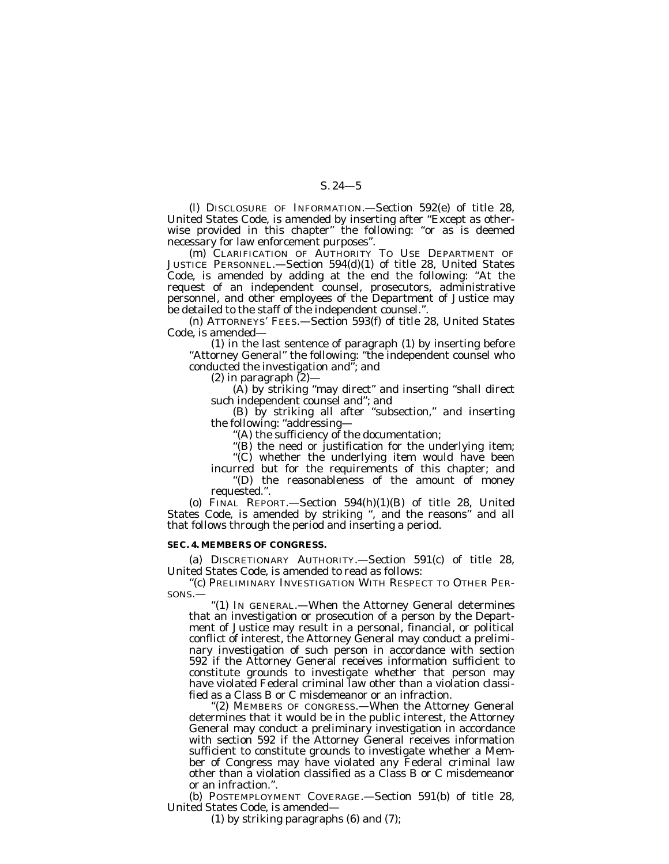(l) DISCLOSURE OF INFORMATION.—Section 592(e) of title 28, United States Code, is amended by inserting after ''Except as otherwise provided in this chapter" the following: "or as is deemed necessary for law enforcement purposes''.

(m) CLARIFICATION OF AUTHORITY TO USE DEPARTMENT OF JUSTICE PERSONNEL.—Section 594(d)(1) of title 28, United States Code, is amended by adding at the end the following: ''At the request of an independent counsel, prosecutors, administrative personnel, and other employees of the Department of Justice may be detailed to the staff of the independent counsel.''.

(n) ATTORNEYS' FEES.—Section 593(f) of title 28, United States Code, is amended—

(1) in the last sentence of paragraph (1) by inserting before "Attorney General" the following: "the independent counsel who conducted the investigation and''; and

 $(2)$  in paragraph  $(2)$ —

(A) by striking ''may direct'' and inserting ''shall direct such independent counsel and''; and

(B) by striking all after ''subsection,'' and inserting the following: ''addressing—

''(A) the sufficiency of the documentation;

''(B) the need or justification for the underlying item;

''(C) whether the underlying item would have been

incurred but for the requirements of this chapter; and ''(D) the reasonableness of the amount of money requested.''.

(o) FINAL REPORT. Section  $594(h)(1)(B)$  of title 28, United States Code, is amended by striking ", and the reasons" and all that follows through the period and inserting a period.

### **SEC. 4. MEMBERS OF CONGRESS.**

(a) DISCRETIONARY AUTHORITY.—Section 591(c) of title 28, United States Code, is amended to read as follows:

''(c) PRELIMINARY INVESTIGATION WITH RESPECT TO OTHER PER-SONS.—

''(1) IN GENERAL.—When the Attorney General determines that an investigation or prosecution of a person by the Department of Justice may result in a personal, financial, or political conflict of interest, the Attorney General may conduct a preliminary investigation of such person in accordance with section 592 if the Attorney General receives information sufficient to constitute grounds to investigate whether that person may have violated Federal criminal law other than a violation classified as a Class B or C misdemeanor or an infraction.

''(2) MEMBERS OF CONGRESS.—When the Attorney General determines that it would be in the public interest, the Attorney General may conduct a preliminary investigation in accordance with section 592 if the Attorney General receives information sufficient to constitute grounds to investigate whether a Member of Congress may have violated any Federal criminal law other than a violation classified as a Class B or C misdemeanor or an infraction.''.

(b) POSTEMPLOYMENT COVERAGE.—Section 591(b) of title 28, United States Code, is amended—

(1) by striking paragraphs (6) and (7);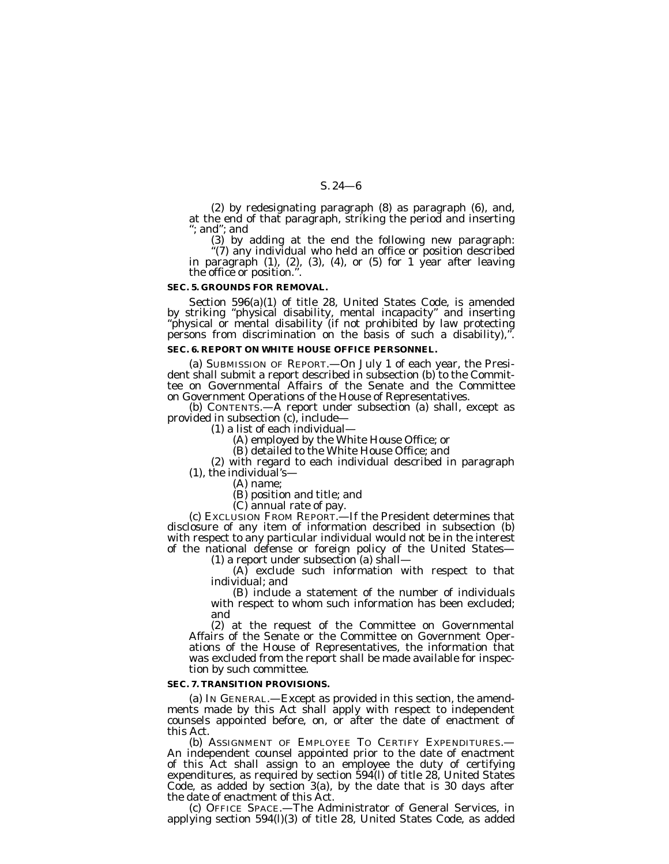(2) by redesignating paragraph (8) as paragraph (6), and, at the end of that paragraph, striking the period and inserting ''; and''; and

(3) by adding at the end the following new paragraph:

''(7) any individual who held an office or position described in paragraph (1), (2), (3), (4), or (5) for 1 year after leaving in paragraph  $(1)$ ,  $(2)$ ,  $(3)$ ,  $(4)$ , or  $(5)$  for 1 year after leaving the office or position.".

### **SEC. 5. GROUNDS FOR REMOVAL.**

Section 596(a)(1) of title 28, United States Code, is amended by striking ''physical disability, mental incapacity'' and inserting ''physical or mental disability (if not prohibited by law protecting persons from discrimination on the basis of such a disability),".

### **SEC. 6. REPORT ON WHITE HOUSE OFFICE PERSONNEL.**

(a) SUBMISSION OF REPORT.—On July 1 of each year, the Presi- dent shall submit a report described in subsection (b) to the Committee on Governmental Affairs of the Senate and the Committee

on Government Operations of the House of Representatives. (b) CONTENTS.—A report under subsection (a) shall, except as provided in subsection (c), include—

(1) a list of each individual—

(A) employed by the White House Office; or

(B) detailed to the White House Office; and

(2) with regard to each individual described in paragraph (1), the individual's—

(A) name;

(B) position and title; and

 $(C)$  annual rate of pay.<br>(c) EXCLUSION FROM REPORT.—If the President determines that disclosure of any item of information described in subsection (b) with respect to any particular individual would not be in the interest of the national defense or foreign policy of the United States— (1) a report under subsection (a) shall—

(A) exclude such information with respect to that individual; and

(B) include a statement of the number of individuals with respect to whom such information has been excluded; and

(2) at the request of the Committee on Governmental Affairs of the Senate or the Committee on Government Operations of the House of Representatives, the information that was excluded from the report shall be made available for inspection by such committee.

### **SEC. 7. TRANSITION PROVISIONS.**

(a) IN GENERAL.—Except as provided in this section, the amendments made by this Act shall apply with respect to independent counsels appointed before, on, or after the date of enactment of this Act.

(b) ASSIGNMENT OF EMPLOYEE TO CERTIFY EXPENDITURES.— An independent counsel appointed prior to the date of enactment of this Act shall assign to an employee the duty of certifying expenditures, as required by section 594(l) of title 28, United States Code, as added by section  $3(a)$ , by the date that is 30 days after the date of enactment of this Act.

(c) OFFICE SPACE.—The Administrator of General Services, in applying section 594(l)(3) of title 28, United States Code, as added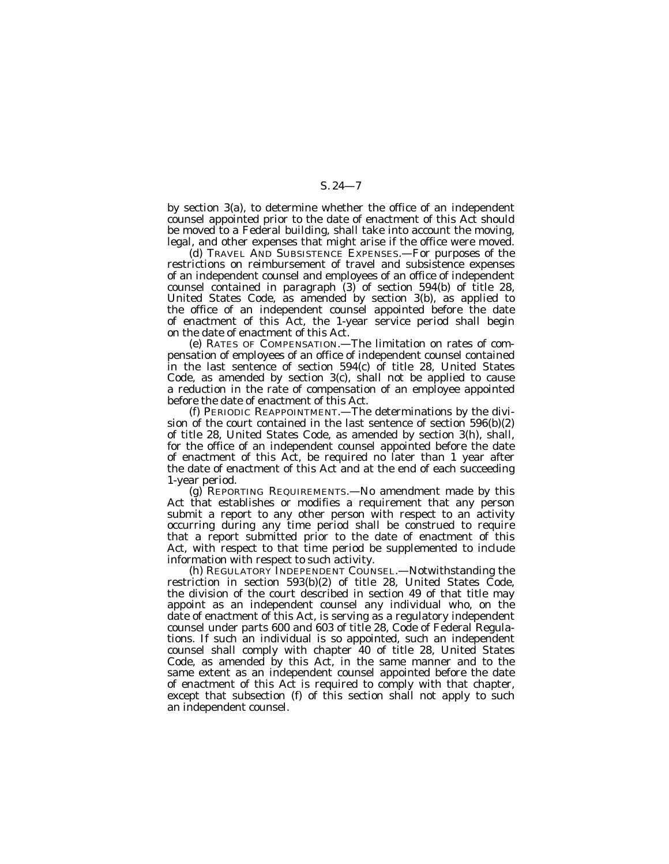by section 3(a), to determine whether the office of an independent counsel appointed prior to the date of enactment of this Act should be moved to a Federal building, shall take into account the moving, legal, and other expenses that might arise if the office were moved.

(d) TRAVEL AND SUBSISTENCE EXPENSES.—For purposes of the restrictions on reimbursement of travel and subsistence expenses of an independent counsel and employees of an office of independent counsel contained in paragraph (3) of section 594(b) of title 28, United States Code, as amended by section 3(b), as applied to the office of an independent counsel appointed before the date of enactment of this Act, the 1-year service period shall begin on the date of enactment of this Act.

(e) RATES OF COMPENSATION.—The limitation on rates of compensation of employees of an office of independent counsel contained in the last sentence of section 594(c) of title 28, United States Code, as amended by section 3(c), shall not be applied to cause a reduction in the rate of compensation of an employee appointed before the date of enactment of this Act.

(f) PERIODIC REAPPOINTMENT.—The determinations by the division of the court contained in the last sentence of section 596(b)(2) of title 28, United States Code, as amended by section 3(h), shall, for the office of an independent counsel appointed before the date of enactment of this Act, be required no later than 1 year after the date of enactment of this Act and at the end of each succeeding 1-year period.

(g) REPORTING REQUIREMENTS.—No amendment made by this Act that establishes or modifies a requirement that any person submit a report to any other person with respect to an activity occurring during any time period shall be construed to require that a report submitted prior to the date of enactment of this Act, with respect to that time period be supplemented to include information with respect to such activity.

(h) REGULATORY INDEPENDENT COUNSEL.—Notwithstanding the restriction in section 593(b)(2) of title 28, United States Code, the division of the court described in section 49 of that title may appoint as an independent counsel any individual who, on the date of enactment of this Act, is serving as a regulatory independent counsel under parts 600 and 603 of title 28, Code of Federal Regulations. If such an individual is so appointed, such an independent counsel shall comply with chapter 40 of title 28, United States Code, as amended by this Act, in the same manner and to the same extent as an independent counsel appointed before the date of enactment of this Act is required to comply with that chapter, except that subsection (f) of this section shall not apply to such an independent counsel.